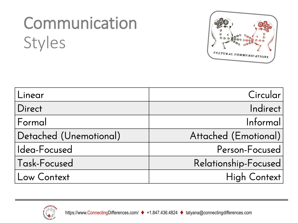## Communication Styles



| Linear                 | Circularl            |
|------------------------|----------------------|
| Direct                 | Indirect             |
| Formal                 | Informal             |
| Detached (Unemotional) | Attached (Emotional) |
| Idea-Focused           | Person-Focused       |
| Task-Focused           | Relationship-Focused |
| Low Context            | High Context         |